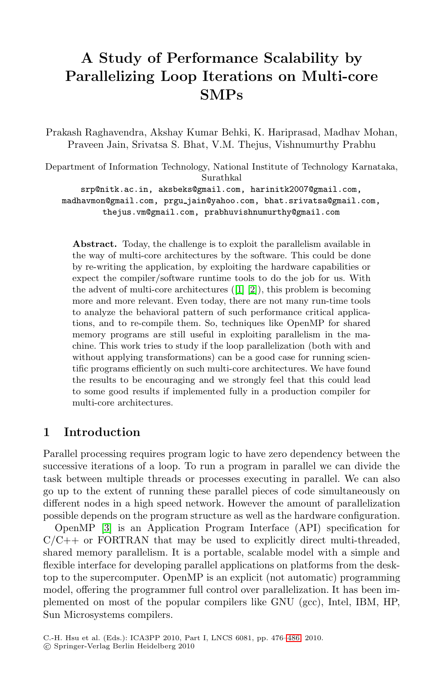## **A Study of Performance Scalability by Parallelizing Loop Iterations on Multi-core SMPs**

Prakash Raghavendra, Akshay Kumar Behki, K. Hariprasad, Madhav Mohan, Praveen Jain, Srivatsa S. Bhat, V.M. Thejus, Vishnumurthy Prabhu

Department of Information Technology, National Institute of Technology Karnataka, Surathkal

srp@nitk.ac.in, aksbeks@gmail.com, harinitk2007@gmail.com, madhavmon@gmail.com, prgu jain@yahoo.com, bhat.srivatsa@gmail.com, thejus.vm@gmail.com, prabhuvishnumurthy@gmail.com

**Abstract.** Today, the challenge is to exploit the parallelism available in the way of multi-core architectures by the software. This could be done by re-writing the application, by exploiting the hardware capabilities or expect the compiler/software runtime tools to do the job for us. With the advent of multi-core architectures ([1] [2]), this problem is becoming more and more relevant. Even today, there are not many run-time tools to analyze the behavioral pattern of such performance critical applications, and to re-compile them. So, techniques like OpenMP for shared memory programs are still useful in exploiting parallelism in the machine. This work tries to study if the loop parallelization (both with and without applying transformations) can be a good case for running scientific programs efficiently on such multi-core architectures. We have found the results to be encouraging and we strongly feel that this could lead to some good results if implemented fully in a production compiler for multi-core architectures.

## **1 Introduction**

Parallel processing requires program logic to have zero dependency between the successive iterations of a loop. To run a program in parallel we can divide the task between multiple threads or processes executing in parallel. We can also go up to the extent of running these parallel pieces of code simultaneously on different nodes in a high speed network. However the amount of parallelization possible depends on the program structure as well as the hardware configuration.

OpenMP [3] is an Application Program Interface (API) specification for  $C/C++$  or FORTRAN that may be used to explicitly direct multi-threaded, shared memory parallelism. It is a portable, scalable model with a simple and flexible interface for developing parallel applications on platforms from the desktop to the supercomputer. OpenMP is an explicit (not automatic) programming model, offering the programmer full control over parallelization. It has been implemented on most of the popular compilers like GNU (gcc), Intel, IBM, HP, Sun Microsystems compilers.

C.-H. Hsu et al. (Eds.): ICA3PP 2010, Part I, LNCS 6081, pp. 476–486, 2010. -c Springer-Verlag Berlin Heidelberg 2010